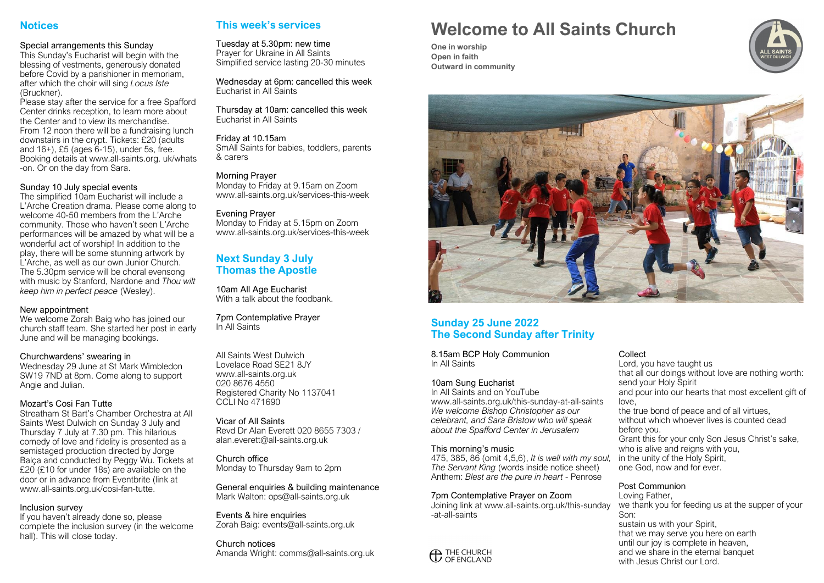# **Notices**

# Special arrangements this Sunday

This Sunday's Eucharist will begin with the blessing of vestments, generously donated before Covid by a parishioner in memoriam, after which the choir will sing *Locus Iste*  (Bruckner).

Please stay after the service for a free Spafford Center drinks reception, to learn more about the Center and to view its merchandise. From 12 noon there will be a fundraising lunch downstairs in the crypt. Tickets: £20 (adults and 16+), £5 (ages 6-15), under 5s, free. Booking details at www.all-saints.org. uk/whats -on. Or on the day from Sara.

### Sunday 10 July special events

The simplified 10am Eucharist will include a L'Arche Creation drama. Please come along to welcome 40-50 members from the L'Arche community. Those who haven't seen L'Arche performances will be amazed by what will be a wonderful act of worship! In addition to the play, there will be some stunning artwork by L'Arche, as well as our own Junior Church. The 5.30pm service will be choral evensong with music by Stanford, Nardone and *Thou wilt keep him in perfect peace* (Wesley).

### New appointment

We welcome Zorah Baig who has joined our church staff team. She started her post in early June and will be managing bookings.

### Churchwardens' swearing in

Wednesday 29 June at St Mark Wimbledon SW19 7ND at 8pm. Come along to support Angie and Julian.

### Mozart's Cosi Fan Tutte

Streatham St Bart's Chamber Orchestra at All Saints West Dulwich on Sunday 3 July and Thursday 7 July at 7.30 pm. This hilarious comedy of love and fidelity is presented as a semistaged production directed by Jorge Balça and conducted by Peggy Wu. Tickets at £20 (£10 for under 18s) are available on the door or in advance from Eventbrite (link at www.all-saints.org.uk/cosi-fan-tutte.

### Inclusion survey

If you haven't already done so, please complete the inclusion survey (in the welcome hall). This will close today.

# **This week's services**

Tuesday at 5.30pm: new time Prayer for Ukraine in All Saints Simplified service lasting 20-30 minutes

Wednesday at 6pm: cancelled this week Eucharist in All Saints

Thursday at 10am: cancelled this week Eucharist in All Saints

Friday at 10.15am SmAll Saints for babies, toddlers, parents & carers

### Morning Prayer

Monday to Friday at 9.15am on Zoom www.all-saints.org.uk/services-this-week

#### Evening Prayer

Monday to Friday at 5.15pm on Zoom www.all-saints.org.uk/services-this-week

# **Next Sunday 3 July Thomas the Apostle**

10am All Age Eucharist With a talk about the foodbank.

7pm Contemplative Prayer In All Saints

All Saints West Dulwich Lovelace Road SE21 8JY www.all-saints.org.uk 020 8676 4550 Registered Charity No 1137041 CCLI No 471690

#### Vicar of All Saints Revd Dr Alan Everett 020 8655 7303 / alan.everett@all-saints.org.uk

Church office Monday to Thursday 9am to 2pm

General enquiries & building maintenance Mark Walton: ops@all-saints.org.uk

Events & hire enquiries Zorah Baig: events@all-saints.org.uk

Church notices Amanda Wright: comms@all-saints.org.uk

# **Welcome to All Saints Church**

**One in worship Open in faith Outward in community**





# **Sunday 25 June 2022 The Second Sunday after Trinity**

8.15am BCP Holy Communion In All Saints

### 10am Sung Eucharist

In All Saints and on YouTube www.all-saints.org.uk/this-sunday-at-all-saints *We welcome Bishop Christopher as our celebrant, and Sara Bristow who will speak about the Spafford Center in Jerusalem*

### This morning's music

475, 385, 86 (omit 4,5,6), *It is well with my soul, The Servant King* (words inside notice sheet) Anthem: *Blest are the pure in heart* - Penrose

7pm Contemplative Prayer on Zoom Joining link at www.all-saints.org.uk/this-sunday -at-all-saints



# Collect

Lord, you have taught us that all our doings without love are nothing worth: send your Holy Spirit and pour into our hearts that most excellent gift of love, the true bond of peace and of all virtues, without which whoever lives is counted dead before you. Grant this for your only Son Jesus Christ's sake, who is alive and reigns with you. in the unity of the Holy Spirit, one God, now and for ever.

# Post Communion

Loving Father, we thank you for feeding us at the supper of your Son: sustain us with your Spirit, that we may serve you here on earth until our joy is complete in heaven, and we share in the eternal banquet with Jesus Christ our Lord.